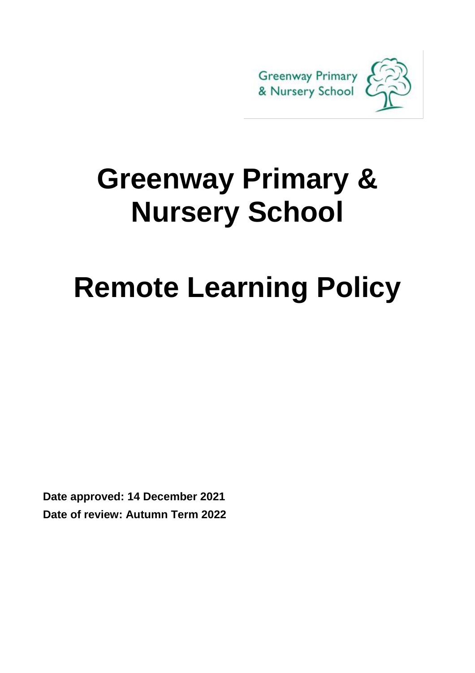

# **Greenway Primary & Nursery School**

# **Remote Learning Policy**

**Date approved: 14 December 2021 Date of review: Autumn Term 2022**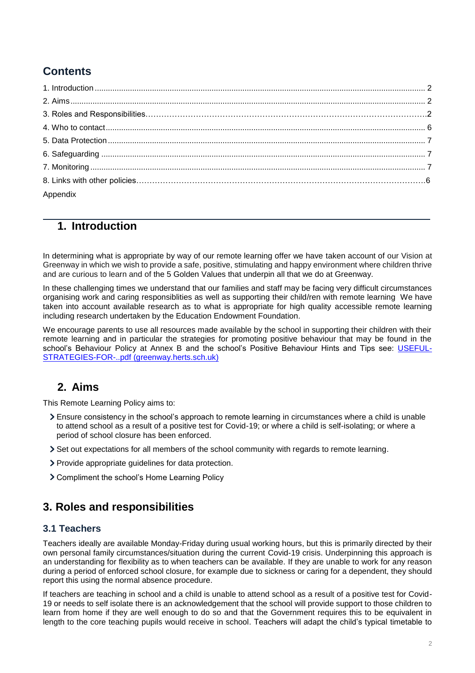# **Contents**

| Appendix |  |
|----------|--|

# **1. Introduction**

In determining what is appropriate by way of our remote learning offer we have taken account of our Vision at Greenway in which we wish to provide a safe, positive, stimulating and happy environment where children thrive and are curious to learn and of the 5 Golden Values that underpin all that we do at Greenway.

In these challenging times we understand that our families and staff may be facing very difficult circumstances organising work and caring responsiblities as well as supporting their child/ren with remote learning We have taken into account available research as to what is appropriate for high quality accessible remote learning including research undertaken by the Education Endowment Foundation.

We encourage parents to use all resources made available by the school in supporting their children with their remote learning and in particular the strategies for promoting positive behaviour that may be found in the school's Behaviour Policy at Annex B and the school's Positive Behaviour Hints and Tips see: [USEFUL-](https://www.greenway.herts.sch.uk/wp-content/uploads/2019/12/USEFUL-STRATEGIES-FOR-..pdf)[STRATEGIES-FOR-..pdf \(greenway.herts.sch.uk\)](https://www.greenway.herts.sch.uk/wp-content/uploads/2019/12/USEFUL-STRATEGIES-FOR-..pdf)

# <span id="page-1-0"></span>**2. Aims**

This Remote Learning Policy aims to:

- Ensure consistency in the school's approach to remote learning in circumstances where a child is unable to attend school as a result of a positive test for Covid-19; or where a child is self-isolating; or where a period of school closure has been enforced.
- Set out expectations for all members of the school community with regards to remote learning.
- Provide appropriate guidelines for data protection.
- Compliment the school's Home Learning Policy

# <span id="page-1-1"></span>**3. Roles and responsibilities**

#### **3.1 Teachers**

Teachers ideally are available Monday-Friday during usual working hours, but this is primarily directed by their own personal family circumstances/situation during the current Covid-19 crisis. Underpinning this approach is an understanding for flexibility as to when teachers can be available. If they are unable to work for any reason during a period of enforced school closure, for example due to sickness or caring for a dependent, they should report this using the normal absence procedure.

If teachers are teaching in school and a child is unable to attend school as a result of a positive test for Covid-19 or needs to self isolate there is an acknowledgement that the school will provide support to those children to learn from home if they are well enough to do so and that the Government requires this to be equivalent in length to the core teaching pupils would receive in school. Teachers will adapt the child's typical timetable to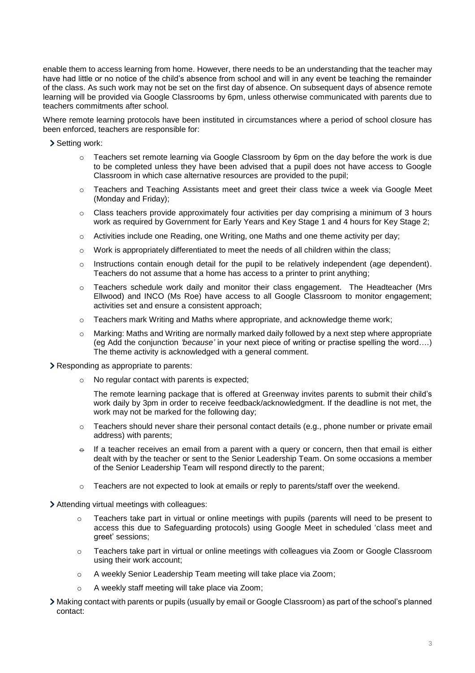enable them to access learning from home. However, there needs to be an understanding that the teacher may have had little or no notice of the child's absence from school and will in any event be teaching the remainder of the class. As such work may not be set on the first day of absence. On subsequent days of absence remote learning will be provided via Google Classrooms by 6pm, unless otherwise communicated with parents due to teachers commitments after school.

Where remote learning protocols have been instituted in circumstances where a period of school closure has been enforced, teachers are responsible for:

> Setting work:

- $\circ$  Teachers set remote learning via Google Classroom by 6pm on the day before the work is due to be completed unless they have been advised that a pupil does not have access to Google Classroom in which case alternative resources are provided to the pupil;
- $\circ$  Teachers and Teaching Assistants meet and greet their class twice a week via Google Meet (Monday and Friday);
- $\circ$  Class teachers provide approximately four activities per day comprising a minimum of 3 hours work as required by Government for Early Years and Key Stage 1 and 4 hours for Key Stage 2;
- o Activities include one Reading, one Writing, one Maths and one theme activity per day;
- $\circ$  Work is appropriately differentiated to meet the needs of all children within the class;
- $\circ$  Instructions contain enough detail for the pupil to be relatively independent (age dependent). Teachers do not assume that a home has access to a printer to print anything;
- o Teachers schedule work daily and monitor their class engagement. The Headteacher (Mrs Ellwood) and INCO (Ms Roe) have access to all Google Classroom to monitor engagement; activities set and ensure a consistent approach;
- $\circ$  Teachers mark Writing and Maths where appropriate, and acknowledge theme work;
- o Marking: Maths and Writing are normally marked daily followed by a next step where appropriate (eg Add the conjunction *'because'* in your next piece of writing or practise spelling the word….) The theme activity is acknowledged with a general comment.

Responding as appropriate to parents:

o No regular contact with parents is expected;

The remote learning package that is offered at Greenway invites parents to submit their child's work daily by 3pm in order to receive feedback/acknowledgment. If the deadline is not met, the work may not be marked for the following day;

- $\circ$  Teachers should never share their personal contact details (e.g., phone number or private email address) with parents;
- $\theta$  If a teacher receives an email from a parent with a query or concern, then that email is either dealt with by the teacher or sent to the Senior Leadership Team. On some occasions a member of the Senior Leadership Team will respond directly to the parent;
- $\circ$  Teachers are not expected to look at emails or reply to parents/staff over the weekend.

Attending virtual meetings with colleagues:

- $\circ$  Teachers take part in virtual or online meetings with pupils (parents will need to be present to access this due to Safeguarding protocols) using Google Meet in scheduled 'class meet and greet' sessions;
- o Teachers take part in virtual or online meetings with colleagues via Zoom or Google Classroom using their work account;
- o A weekly Senior Leadership Team meeting will take place via Zoom;
- A weekly staff meeting will take place via Zoom;
- Making contact with parents or pupils (usually by email or Google Classroom) as part of the school's planned contact: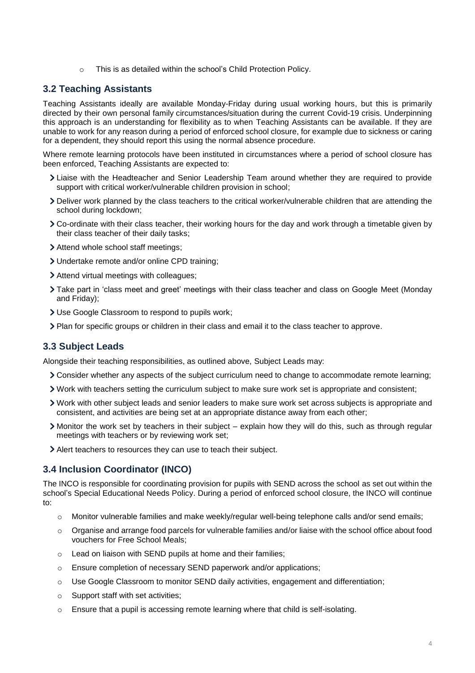o This is as detailed within the school's Child Protection Policy.

## **3.2 Teaching Assistants**

Teaching Assistants ideally are available Monday-Friday during usual working hours, but this is primarily directed by their own personal family circumstances/situation during the current Covid-19 crisis. Underpinning this approach is an understanding for flexibility as to when Teaching Assistants can be available. If they are unable to work for any reason during a period of enforced school closure, for example due to sickness or caring for a dependent, they should report this using the normal absence procedure.

Where remote learning protocols have been instituted in circumstances where a period of school closure has been enforced, Teaching Assistants are expected to:

- Liaise with the Headteacher and Senior Leadership Team around whether they are required to provide support with critical worker/vulnerable children provision in school;
- Deliver work planned by the class teachers to the critical worker/vulnerable children that are attending the school during lockdown;
- Co-ordinate with their class teacher, their working hours for the day and work through a timetable given by their class teacher of their daily tasks;
- Attend whole school staff meetings;
- Undertake remote and/or online CPD training;
- Attend virtual meetings with colleagues;
- Take part in 'class meet and greet' meetings with their class teacher and class on Google Meet (Monday and Friday);
- Use Google Classroom to respond to pupils work;
- Plan for specific groups or children in their class and email it to the class teacher to approve.

## **3.3 Subject Leads**

Alongside their teaching responsibilities, as outlined above, Subject Leads may:

- Consider whether any aspects of the subject curriculum need to change to accommodate remote learning;
- Work with teachers setting the curriculum subject to make sure work set is appropriate and consistent;
- Work with other subject leads and senior leaders to make sure work set across subjects is appropriate and consistent, and activities are being set at an appropriate distance away from each other;
- Monitor the work set by teachers in their subject explain how they will do this, such as through regular meetings with teachers or by reviewing work set;
- Alert teachers to resources they can use to teach their subject.

## **3.4 Inclusion Coordinator (INCO)**

The INCO is responsible for coordinating provision for pupils with SEND across the school as set out within the school's Special Educational Needs Policy. During a period of enforced school closure, the INCO will continue to:

- o Monitor vulnerable families and make weekly/regular well-being telephone calls and/or send emails;
- $\circ$  Organise and arrange food parcels for vulnerable families and/or liaise with the school office about food vouchers for Free School Meals;
- o Lead on liaison with SEND pupils at home and their families;
- o Ensure completion of necessary SEND paperwork and/or applications;
- o Use Google Classroom to monitor SEND daily activities, engagement and differentiation;
- $\circ$  Support staff with set activities;
- $\circ$  Ensure that a pupil is accessing remote learning where that child is self-isolating.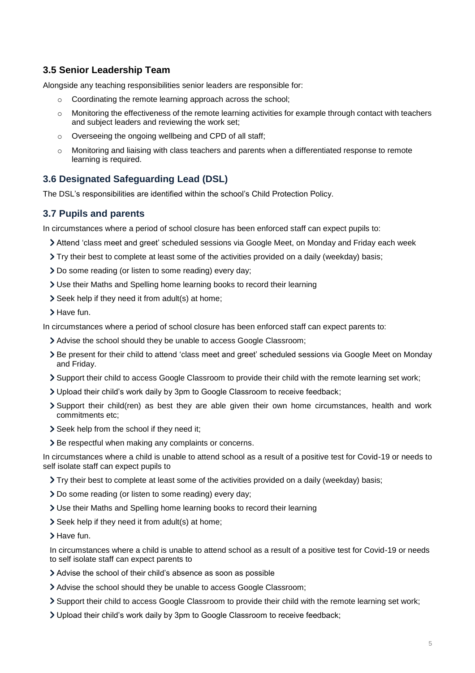# **3.5 Senior Leadership Team**

Alongside any teaching responsibilities senior leaders are responsible for:

- o Coordinating the remote learning approach across the school;
- o Monitoring the effectiveness of the remote learning activities for example through contact with teachers and subject leaders and reviewing the work set;
- o Overseeing the ongoing wellbeing and CPD of all staff;
- Monitoring and liaising with class teachers and parents when a differentiated response to remote learning is required.

# **3.6 Designated Safeguarding Lead (DSL)**

The DSL's responsibilities are identified within the school's Child Protection Policy.

## **3.7 Pupils and parents**

In circumstances where a period of school closure has been enforced staff can expect pupils to:

- Attend 'class meet and greet' scheduled sessions via Google Meet, on Monday and Friday each week
- Try their best to complete at least some of the activities provided on a daily (weekday) basis;
- Do some reading (or listen to some reading) every day;
- Use their Maths and Spelling home learning books to record their learning
- Seek help if they need it from adult(s) at home;
- Have fun.

In circumstances where a period of school closure has been enforced staff can expect parents to:

- Advise the school should they be unable to access Google Classroom;
- > Be present for their child to attend 'class meet and greet' scheduled sessions via Google Meet on Monday and Friday.
- Support their child to access Google Classroom to provide their child with the remote learning set work;
- Upload their child's work daily by 3pm to Google Classroom to receive feedback;
- Support their child(ren) as best they are able given their own home circumstances, health and work commitments etc;
- Seek help from the school if they need it;
- > Be respectful when making any complaints or concerns.

In circumstances where a child is unable to attend school as a result of a positive test for Covid-19 or needs to self isolate staff can expect pupils to

Try their best to complete at least some of the activities provided on a daily (weekday) basis;

- Do some reading (or listen to some reading) every day;
- Use their Maths and Spelling home learning books to record their learning
- Seek help if they need it from adult(s) at home;
- > Have fun.

In circumstances where a child is unable to attend school as a result of a positive test for Covid-19 or needs to self isolate staff can expect parents to

- Advise the school of their child's absence as soon as possible
- Advise the school should they be unable to access Google Classroom;
- Support their child to access Google Classroom to provide their child with the remote learning set work;
- Upload their child's work daily by 3pm to Google Classroom to receive feedback;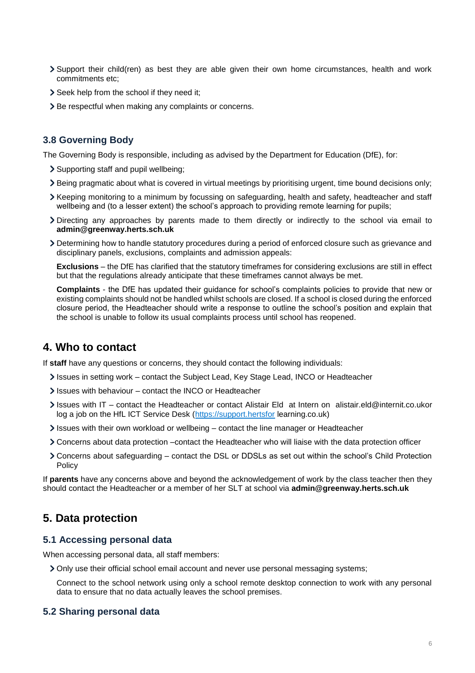- Support their child(ren) as best they are able given their own home circumstances, health and work commitments etc;
- Seek help from the school if they need it;
- > Be respectful when making any complaints or concerns.

#### **3.8 Governing Body**

The Governing Body is responsible, including as advised by the Department for Education (DfE), for:

- Supporting staff and pupil wellbeing;
- Being pragmatic about what is covered in virtual meetings by prioritising urgent, time bound decisions only;
- Xeeping monitoring to a minimum by focussing on safeguarding, health and safety, headteacher and staff wellbeing and (to a lesser extent) the school's approach to providing remote learning for pupils;
- Directing any approaches by parents made to them directly or indirectly to the school via email to **admin@greenway.herts.sch.uk**
- Determining how to handle statutory procedures during a period of enforced closure such as grievance and disciplinary panels, exclusions, complaints and admission appeals:

**Exclusions** – the DfE has clarified that the statutory timeframes for considering exclusions are still in effect but that the regulations already anticipate that these timeframes cannot always be met.

**Complaints** - the DfE has updated their guidance for school's complaints policies to provide that new or existing complaints should not be handled whilst schools are closed. If a school is closed during the enforced closure period, the Headteacher should write a response to outline the school's position and explain that the school is unable to follow its usual complaints process until school has reopened.

# **4. Who to contact**

If **staff** have any questions or concerns, they should contact the following individuals:

- Issues in setting work contact the Subject Lead, Key Stage Lead, INCO or Headteacher
- Issues with behaviour contact the INCO or Headteacher
- Issues with IT contact the Headteacher or contact Alistair Eld at Intern on alistair.eld@internit.co.ukor log a job on the HfL ICT Service Desk [\(https://support.hertsfor](https://support.hertsfor/) learning.co.uk)
- $\ge$  Issues with their own workload or wellbeing contact the line manager or Headteacher
- Concerns about data protection –contact the Headteacher who will liaise with the data protection officer
- Concerns about safeguarding contact the DSL or DDSLs as set out within the school's Child Protection Policy

If **parents** have any concerns above and beyond the acknowledgement of work by the class teacher then they should contact the Headteacher or a member of her SLT at school via **admin@greenway.herts.sch.uk**

## <span id="page-5-0"></span>**5. Data protection**

#### **5.1 Accessing personal data**

When accessing personal data, all staff members:

Only use their official school email account and never use personal messaging systems;

Connect to the school network using only a school remote desktop connection to work with any personal data to ensure that no data actually leaves the school premises.

#### **5.2 Sharing personal data**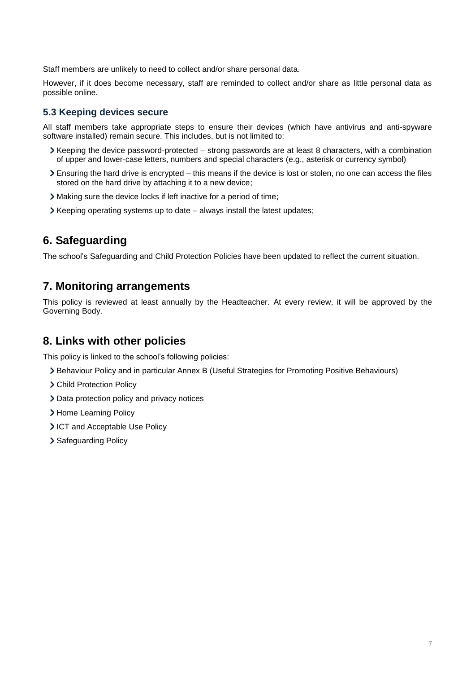Staff members are unlikely to need to collect and/or share personal data.

However, if it does become necessary, staff are reminded to collect and/or share as little personal data as possible online.

### **5.3 Keeping devices secure**

All staff members take appropriate steps to ensure their devices (which have antivirus and anti-spyware software installed) remain secure. This includes, but is not limited to:

- $\blacktriangleright$  Keeping the device password-protected strong passwords are at least 8 characters, with a combination of upper and lower-case letters, numbers and special characters (e.g., asterisk or currency symbol)
- Ensuring the hard drive is encrypted this means if the device is lost or stolen, no one can access the files stored on the hard drive by attaching it to a new device;
- Making sure the device locks if left inactive for a period of time;
- $\triangleright$  Keeping operating systems up to date always install the latest updates;

# <span id="page-6-0"></span>**6. Safeguarding**

The school's Safeguarding and Child Protection Policies have been updated to reflect the current situation.

# <span id="page-6-1"></span>**7. Monitoring arrangements**

This policy is reviewed at least annually by the Headteacher. At every review, it will be approved by the Governing Body.

# <span id="page-6-2"></span>**8. Links with other policies**

This policy is linked to the school's following policies:

- Behaviour Policy and in particular Annex B (Useful Strategies for Promoting Positive Behaviours)
- Child Protection Policy
- > Data protection policy and privacy notices
- > Home Learning Policy
- ICT and Acceptable Use Policy
- > Safeguarding Policy